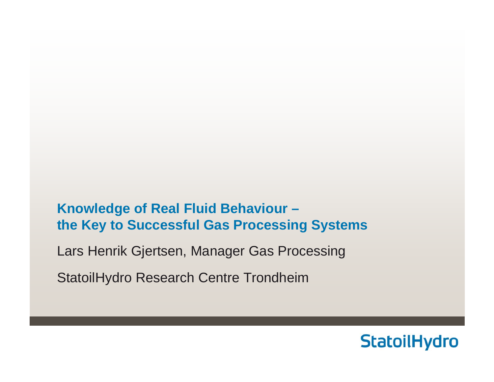**Knowledge of Real Fluid Behaviour – the Key to Successful Gas Processing Systems** 

Lars Henrik Gjertsen, Manager Gas Processing

StatoilHydro Research Centre Trondheim

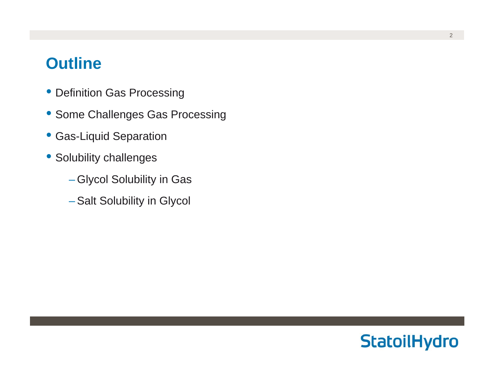## **Outline**

- Definition Gas Processing
- Some Challenges Gas Processing
- Gas-Liquid Separation
- Solubility challenges
	- Glycol Solubility in Gas
	- Salt Solubility in Glycol

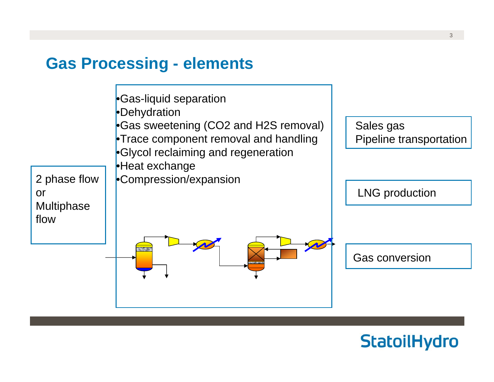## **Gas Processing - elements**



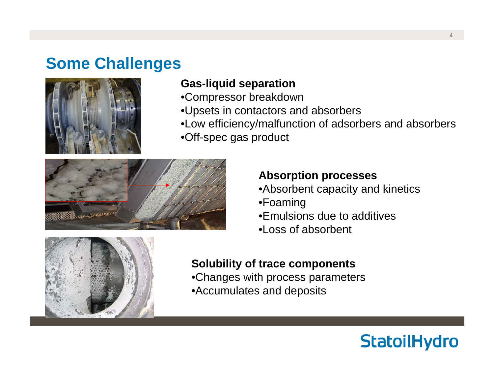# **Some Challenges**



### **Gas-liquid separation**

- •Compressor breakdown
- •Upsets in contactors and absorbers
- •Low efficiency/malfunction of adsorbers and absorbers

•Off-spec gas product



#### **Absorption processes**

- •Absorbent capacity and kinetics
- •Foaming
- •Emulsions due to additives
- •Loss of absorbent



#### **Solubility of trace components**

- •Changes with process parameters
- •Accumulates and deposits

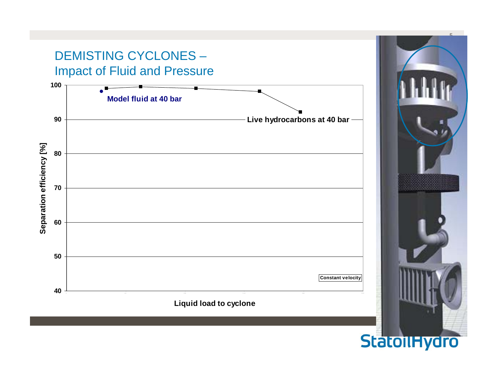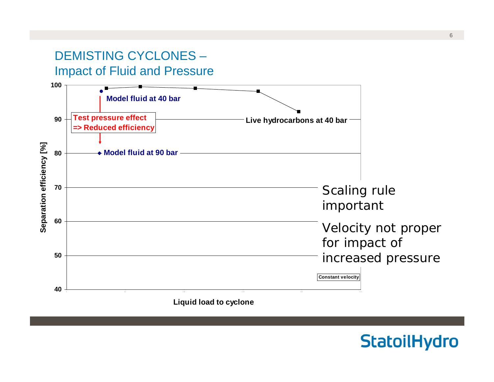## DEMISTING CYCLONES –Impact of Fluid and Pressure



**Liquid load to cyclone**

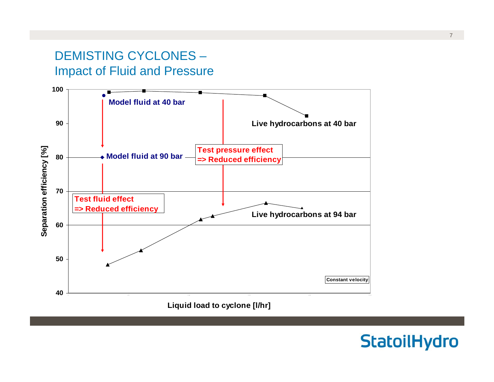### DEMISTING CYCLONES –Impact of Fluid and Pressure



**Liquid load to cyclone [l/hr]**

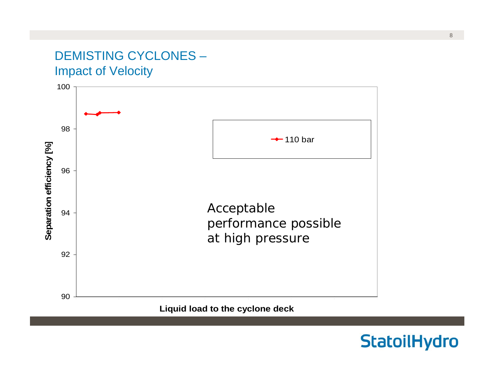## DEMISTING CYCLONES –Impact of Velocity

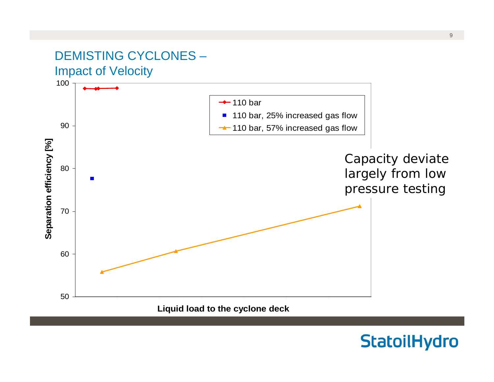### DEMISTING CYCLONES –Impact of Velocity

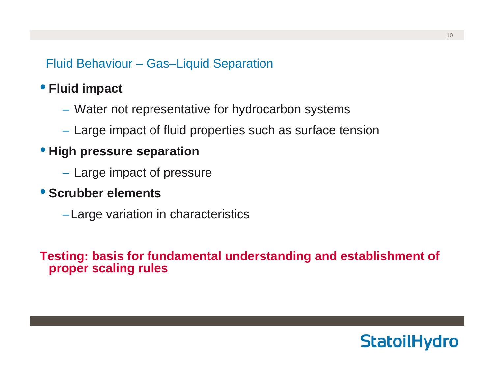Fluid Behaviour – Gas–Liquid Separation

## • **Fluid impact**

- Water not representative for hydrocarbon systems
- $-$  Large impact of fluid properties such as surface tension

#### • **High pressure separation**

 $-$  Large impact of pressure

### • **Scrubber elements**

–Large variation in characteristics

**Testing: basis for fundamental understanding and establishment of proper scaling rules**

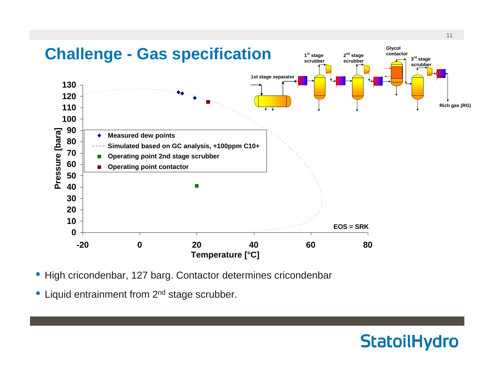

- High cricondenbar, 127 barg. Contactor determines cricondenbar
- Liquid entrainment from 2<sup>nd</sup> stage scrubber.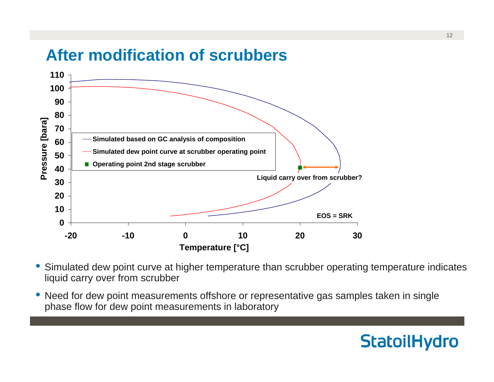# **After modification of scrubbers**



- • Simulated dew point curve at higher temperature than scrubber operating temperature indicates liquid carry over from scrubber
- • Need for dew point measurements offshore or representative gas samples taken in single phase flow for dew point measurements in laboratory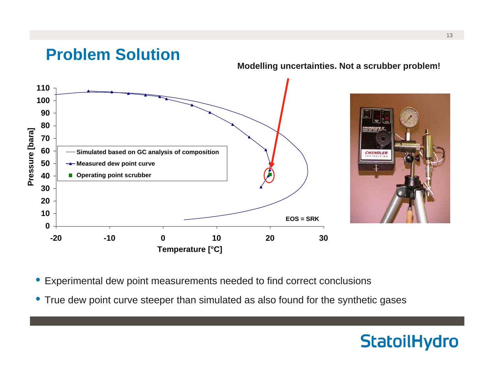

- Experimental dew point measurements needed to find correct conclusions
- True dew point curve steeper than simulated as also found for the synthetic gases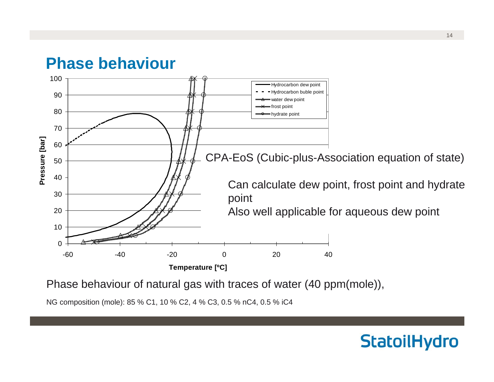## **Phase behaviour**



Phase behaviour of natural gas with traces of water (40 ppm(mole)),

NG composition (mole): 85 % C1, 10 % C2, 4 % C3, 0.5 % nC4, 0.5 % iC4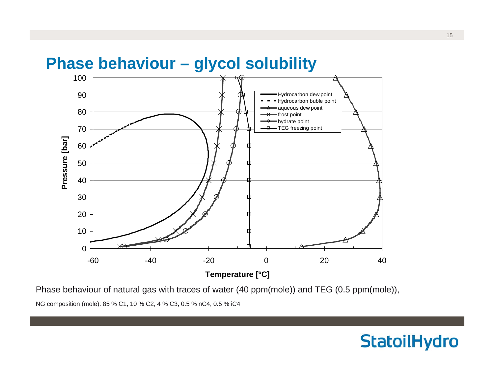

Phase behaviour of natural gas with traces of water (40 ppm(mole)) and TEG (0.5 ppm(mole)),

NG composition (mole): 85 % C1, 10 % C2, 4 % C3, 0.5 % nC4, 0.5 % iC4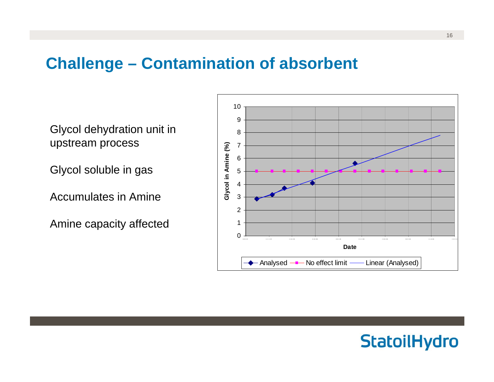# **Challenge – Contamination of absorbent**

Glycol dehydration unit in upstream process

Glycol soluble in gas

Accumulates in Amine

Amine capacity affected



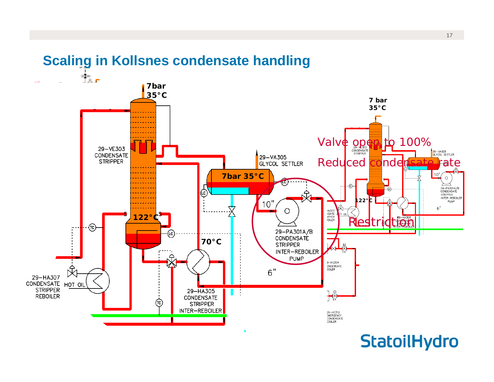

## **Scaling in Kollsnes condensate handling**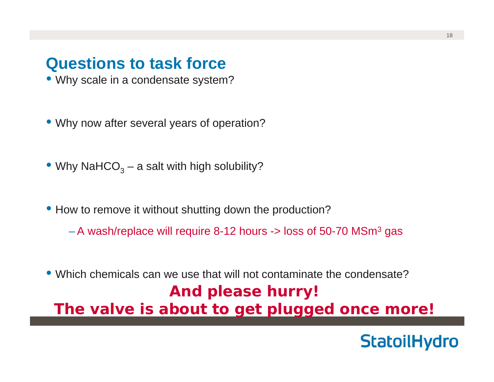## **Questions to task force**

- Why scale in a condensate system?
- Why now after several years of operation?
- $\bullet$  Why NaHCO $_3$  a salt with high solubility?
- How to remove it without shutting down the production?
	- $-$  A wash/replace will require 8-12 hours -> loss of 50-70 MSm $^{\rm 3}$  gas
- Which chemicals can we use that will not contaminate the condensate?**And please hurry! The valve is about to get plugged once more!**

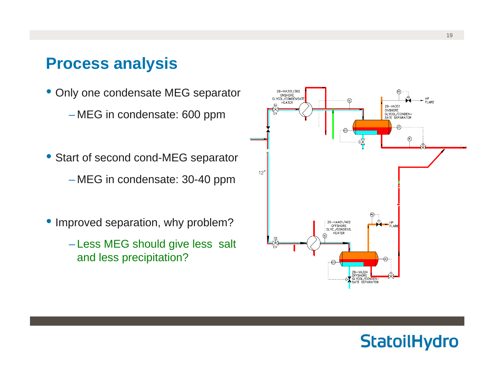## **Process analysis**

- Only one condensate MEG separator – MEG in condensate: 600 ppm
- Start of second cond-MEG separator – MEG in condensate: 30-40 ppm
- Improved separation, why problem?
	- Less MEG should give less salt and less precipitation?



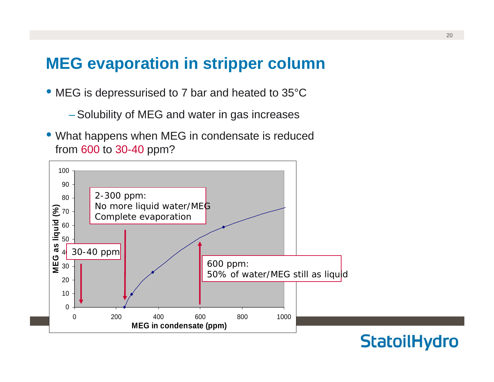# **MEG evaporation in stripper column**

- MEG is depressurised to 7 bar and heated to 35°C
	- Solubility of MEG and water in gas increases
- What happens when MEG in condensate is reduced from 600 to 30-40 ppm?

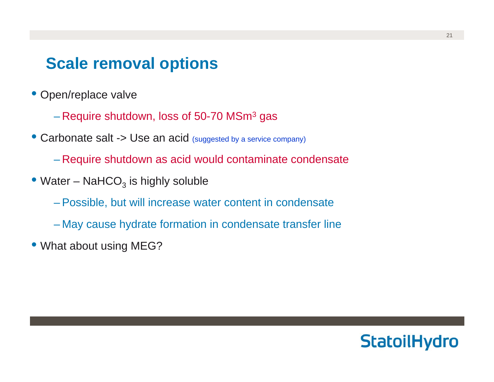## **Scale removal options**

- Open/replace valve
	- $-$  Require shutdown, loss of 50-70 MSm $^{\rm 3}$  gas
- Carbonate salt -> Use an acid (suggested by a service company)
	- Require shutdown as acid would contaminate condensate
- $\bullet$  Water NaHCO $_3$  is highly soluble
	- Possible, but will increase water content in condensate
	- May cause hydrate formation in condensate transfer line
- What about using MEG?

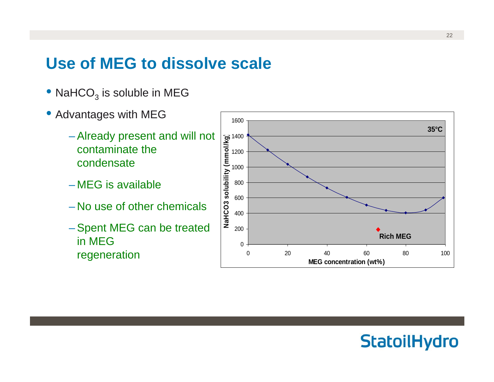# **Use of MEG to dissolve scale**

- $\bullet$  NaHCO $_3$  is soluble in MEG
- Advantages with MEG
	- Already present and will not contaminate the condensate
	- MEG is available
	- No use of other chemicals
	- Spent MEG can be treated in MEG regeneration

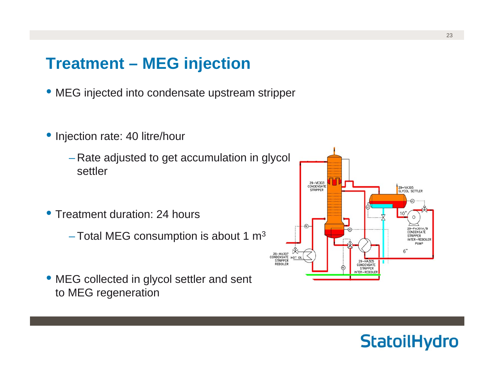## **Treatment – MEG injection**

- MEG injected into condensate upstream stripper
- • Injection rate: 40 litre/hour
	- Rate adjusted to get accumulation in glycol settler
- • Treatment duration: 24 hours
	- $-$ Total MEG consumption is about 1 m $^{\rm 3}$
- MEG collected in glycol settler and sent to MEG regeneration